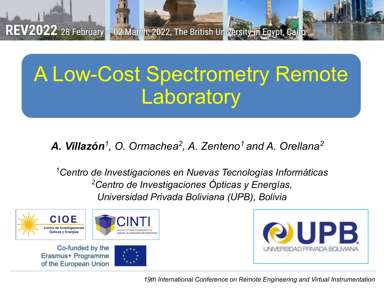# A Low-Cost Spectrometry Remote **Laboratory**

*A. Villazón<sup>1</sup> , O. Ormachea<sup>2</sup> , A. Zenteno1 and A. Orellana2*

*1Centro de Investigaciones en Nuevas Tecnologías Informáticas 2Centro de Investigaciones Ópticas y Energías, Universidad Privada Boliviana (UPB), Bolivia*



Co-funded by the Erasmus+ Programme of the European Union





*19th International Conference on Remote Engineering and Virtual Instrumentation*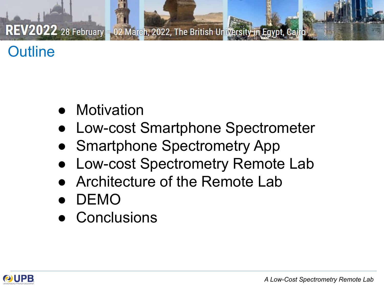# **Outline**

- **Motivation**
- Low-cost Smartphone Spectrometer
- **Smartphone Spectrometry App**
- Low-cost Spectrometry Remote Lab
- Architecture of the Remote Lab
- DEMO
- **Conclusions**

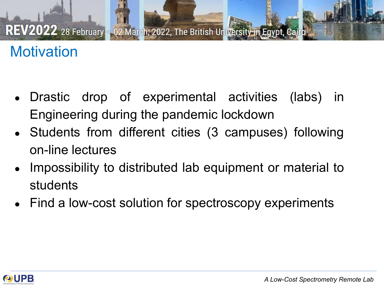# **Motivation**

- Drastic drop of experimental activities (labs) in Engineering during the pandemic lockdown
- Students from different cities (3 campuses) following on-line lectures
- Impossibility to distributed lab equipment or material to students
- Find a low-cost solution for spectroscopy experiments

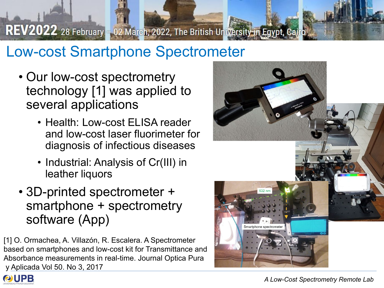# Low-cost Smartphone Spectrometer

- Our low-cost spectrometry technology [1] was applied to several applications
	- Health: Low-cost ELISA reader and low-cost laser fluorimeter for diagnosis of infectious diseases
	- Industrial: Analysis of Cr(III) in leather liquors
- 3D-printed spectrometer + smartphone + spectrometry software (App)

[1] O. Ormachea, A. Villazón, R. Escalera. A Spectrometer based on smartphones and low-cost kit for Transmittance and Absorbance measurements in real-time. Journal Optica Pura y Aplicada Vol 50. No 3, 2017



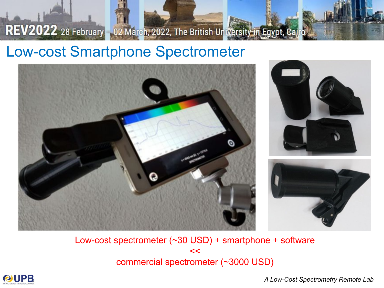#### Low-cost Smartphone Spectrometer



Low-cost spectrometer (~30 USD) + smartphone + software  $<<$ commercial spectrometer (~3000 USD)



*A Low-Cost Spectrometry Remote Lab*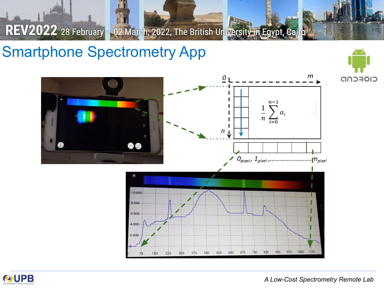#### Smartphone Spectrometry App





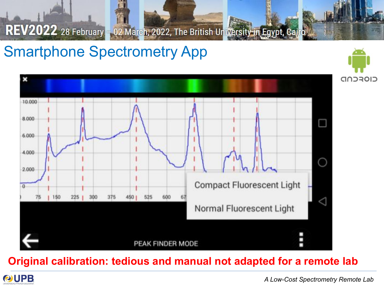# Smartphone Spectrometry App



**Original calibration: tedious and manual not adapted for a remote lab**



CIOFCND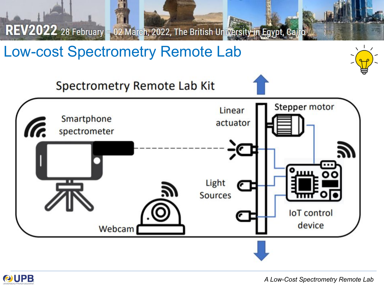

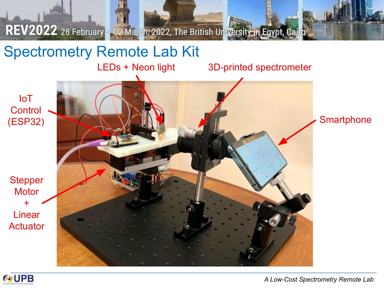# Spectrometry Remote Lab Kit

LEDs + Neon light

3D-printed spectrometer

IoT **Control** (ESP32)

**Stepper Motor** + Linear **Actuator** 



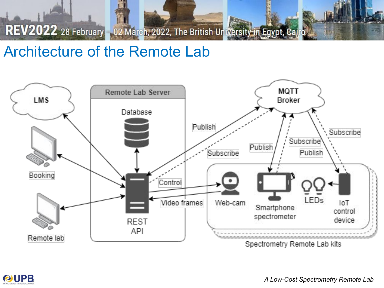#### Architecture of the Remote Lab





*A Low-Cost Spectrometry Remote Lab*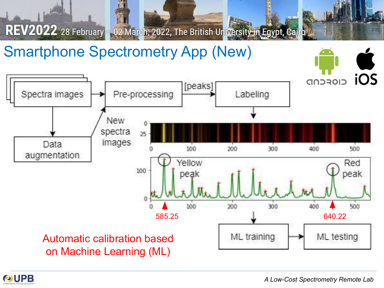## Smartphone Spectrometry App (New)



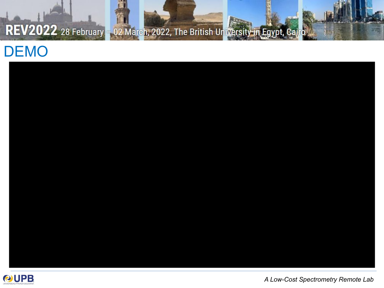### DEMO



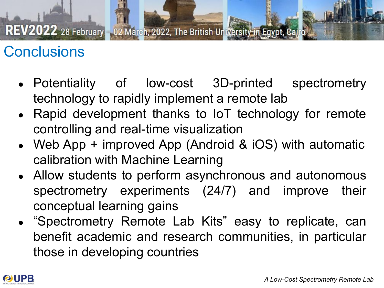# **Conclusions**

- Potentiality of low-cost 3D-printed spectrometry technology to rapidly implement a remote lab
- Rapid development thanks to IoT technology for remote controlling and real-time visualization
- Web App  $+$  improved App (Android & iOS) with automatic calibration with Machine Learning
- Allow students to perform asynchronous and autonomous spectrometry experiments (24/7) and improve their conceptual learning gains
- "Spectrometry Remote Lab Kits" easy to replicate, can benefit academic and research communities, in particular those in developing countries